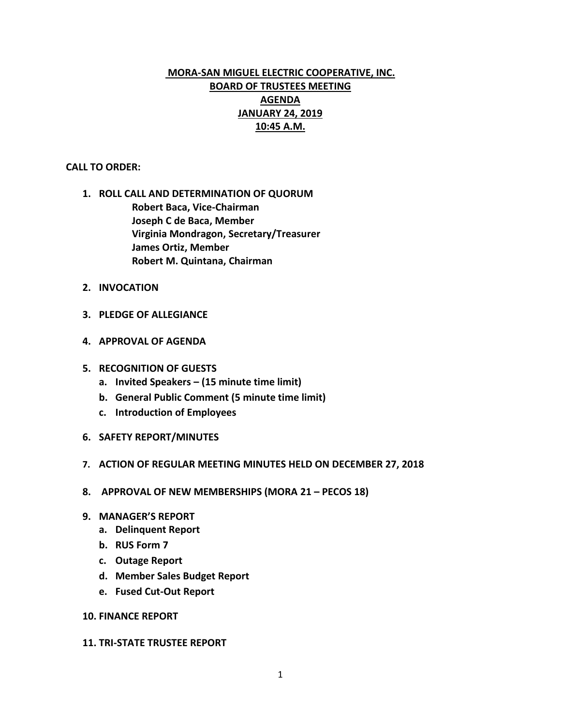# **MORA-SAN MIGUEL ELECTRIC COOPERATIVE, INC. BOARD OF TRUSTEES MEETING AGENDA JANUARY 24, 2019 10:45 A.M.**

# **CALL TO ORDER:**

- **1. ROLL CALL AND DETERMINATION OF QUORUM Robert Baca, Vice-Chairman Joseph C de Baca, Member Virginia Mondragon, Secretary/Treasurer James Ortiz, Member Robert M. Quintana, Chairman**
- **2. INVOCATION**
- **3. PLEDGE OF ALLEGIANCE**
- **4. APPROVAL OF AGENDA**
- **5. RECOGNITION OF GUESTS**
	- **a. Invited Speakers – (15 minute time limit)**
	- **b. General Public Comment (5 minute time limit)**
	- **c. Introduction of Employees**
- **6. SAFETY REPORT/MINUTES**
- **7. ACTION OF REGULAR MEETING MINUTES HELD ON DECEMBER 27, 2018**
- **8. APPROVAL OF NEW MEMBERSHIPS (MORA 21 – PECOS 18)**
- **9. MANAGER'S REPORT**
	- **a. Delinquent Report**
	- **b. RUS Form 7**
	- **c. Outage Report**
	- **d. Member Sales Budget Report**
	- **e. Fused Cut-Out Report**

# **10. FINANCE REPORT**

## **11. TRI-STATE TRUSTEE REPORT**